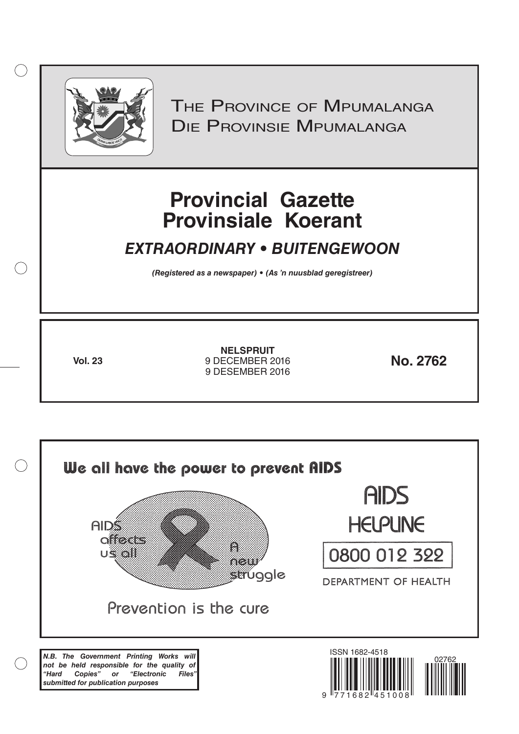

 $( )$ 

THE PROVINCE OF MPUMALANGA Die Provinsie Mpumalanga

# **Provincial Gazette Provinsiale Koerant**

## *EXTRAORDINARY • BUITENGEWOON*

*(Registered as a newspaper) • (As 'n nuusblad geregistreer)*

**Vol. 23 No. 2762** 9 DECEMBER 2016 **NELSPRUIT** 9 DESEMBER 2016

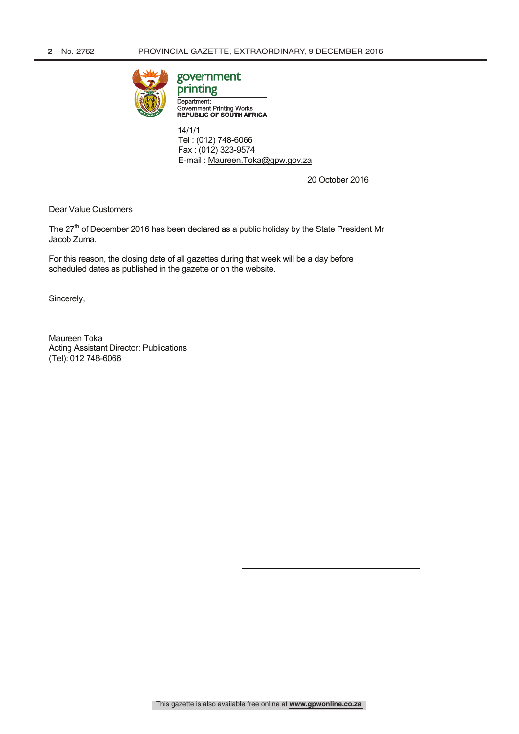

### government

Department: Government Printing Works<br>REPUBLIC OF SOUTH AFRICA

 14/1/1 Tel : (012) 748-6066 Fax : (012) 323-9574 E-mail : Maureen.Toka@gpw.gov.za

20 October 2016

Dear Value Customers

The 27<sup>th</sup> of December 2016 has been declared as a public holiday by the State President Mr Jacob Zuma.

For this reason, the closing date of all gazettes during that week will be a day before scheduled dates as published in the gazette or on the website.

Sincerely,

Maureen Toka Acting Assistant Director: Publications (Tel): 012 748-6066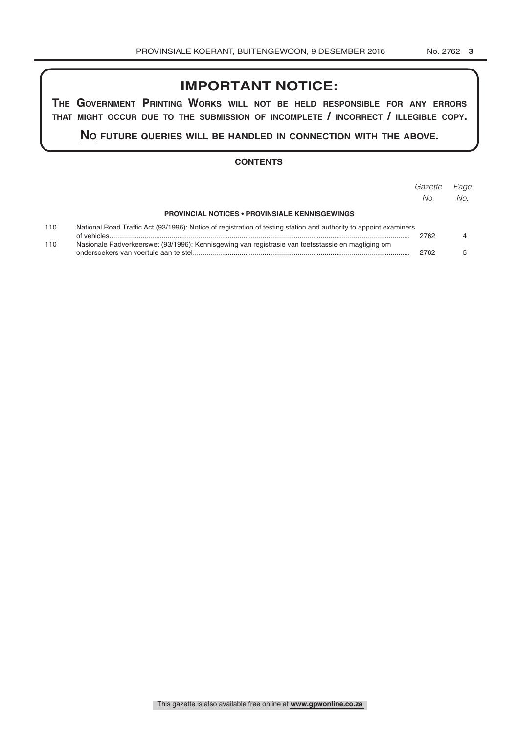### **IMPORTANT NOTICE:**

**The GovernmenT PrinTinG Works Will noT be held resPonsible for any errors ThaT miGhT occur due To The submission of incomPleTe / incorrecT / illeGible coPy.**

**no fuTure queries Will be handled in connecTion WiTh The above.**

#### **CONTENTS**

|     |                                                                                                                   | Gazette<br>No. | Page<br>No. |
|-----|-------------------------------------------------------------------------------------------------------------------|----------------|-------------|
|     |                                                                                                                   |                |             |
|     | <b>PROVINCIAL NOTICES • PROVINSIALE KENNISGEWINGS</b>                                                             |                |             |
| 110 | National Road Traffic Act (93/1996): Notice of registration of testing station and authority to appoint examiners | 2762           |             |
| 110 | Nasionale Padverkeerswet (93/1996): Kennisgewing van registrasie van toetsstassie en magtiging om                 | 2762           |             |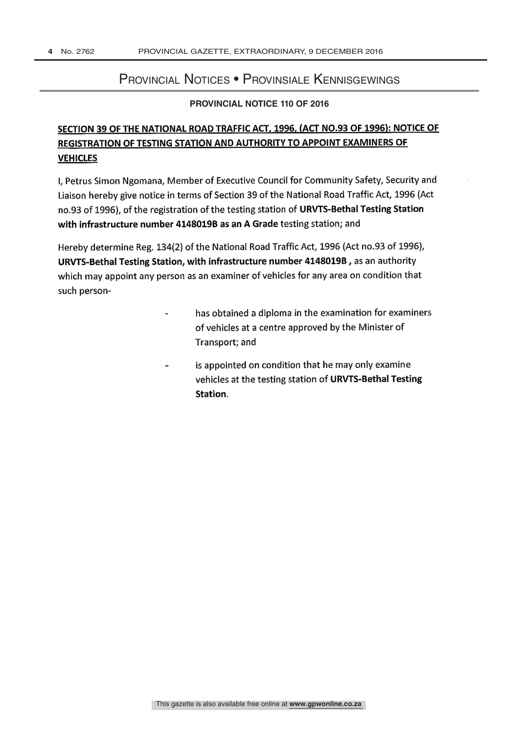### Provincial Notices • Provinsiale Kennisgewings

### **PROVINCIAL NOTICE 110 OF 2016**

### SECTION 39 OF THE NATIONAL ROAD TRAFFIC ACT, 1996, (ACT NO.93 OF 1996): NOTICE OF REGISTRATION OF TESTING STATION AND AUTHORITY TO APPOINT EXAMINERS OF VEHICLES

I, Petrus Simon Ngomana, Member of Executive Council for Community Safety, Security and Liaison hereby give notice in terms of Section 39 of the National Road Traffic Act, 1996 (Act no.93 of 1996), of the registration of the testing station of URVTS-Bethal Testing Station with infrastructure number 4148019B as an A Grade testing station; and

Hereby determine Reg. 134(2) of the National Road Traffic Act, 1996 (Act no.93 of 1996), URVTS -Bethal Testing Station, with infrastructure number 4148019B, as an authority which may appoint any person as an examiner of vehicles for any area on condition that such person-

- has obtained a diploma in the examination for examiners of vehicles at a centre approved by the Minister of Transport; and
- is appointed on condition that he may only examine vehicles at the testing station of URVTS-Bethal Testing Station.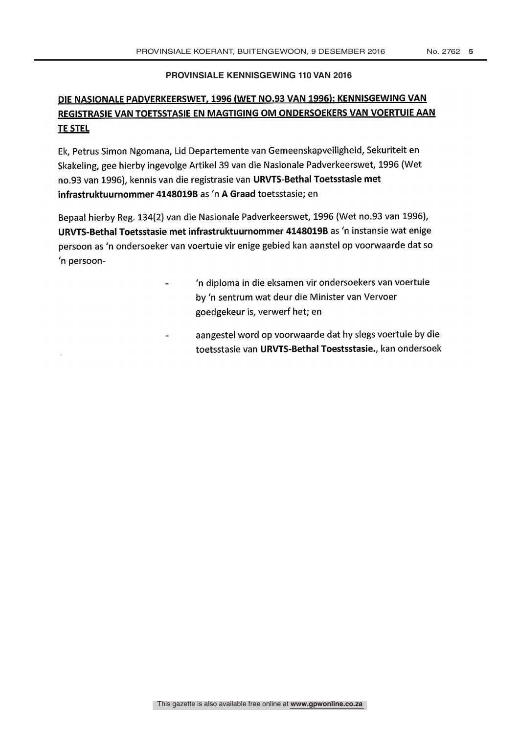#### **PROVINSIALE KENNISGEWING 110 VAN 2016**

### DIE NASIONALE PADVERKEERSWET, 1996 (WET NO.93 VAN 1996): KENNISGEWING VAN REGISTRASIE VAN TOETSSTASIE EN MAGTIGING OM ONDERSOEKERS VAN VOERTUIE AAN **TE STEL**

Ek. Petrus Simon Ngomana, Lid Departemente van Gemeenskapveiligheid, Sekuriteit en Skakeling, gee hierby ingevolge Artikel 39 van die Nasionale Padverkeerswet, 1996 (Wet no.93 van 1996), kennis van die registrasie van URVTS-Bethal Toetsstasie met infrastruktuurnommer 4148019B as 'n A Graad toetsstasie; en

Bepaal hierby Reg. 134(2) van die Nasionale Padverkeerswet, 1996 (Wet no.93 van 1996), URVTS-Bethal Toetsstasie met infrastruktuurnommer 4148019B as 'n instansie wat enige persoon as 'n ondersoeker van voertuie vir enige gebied kan aanstel op voorwaarde dat so 'n persoon-

- 'n diploma in die eksamen vir ondersoekers van voertuie by 'n sentrum wat deur die Minister van Vervoer goedgekeur is, verwerf het; en
- aangestel word op voorwaarde dat hy slegs voertuie by die toetsstasie van URVTS-Bethal Toestsstasie., kan ondersoek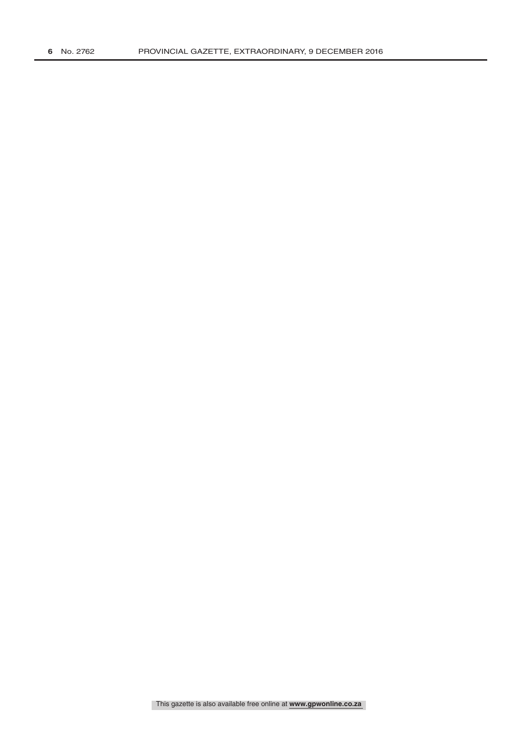This gazette is also available free online at **www.gpwonline.co.za**